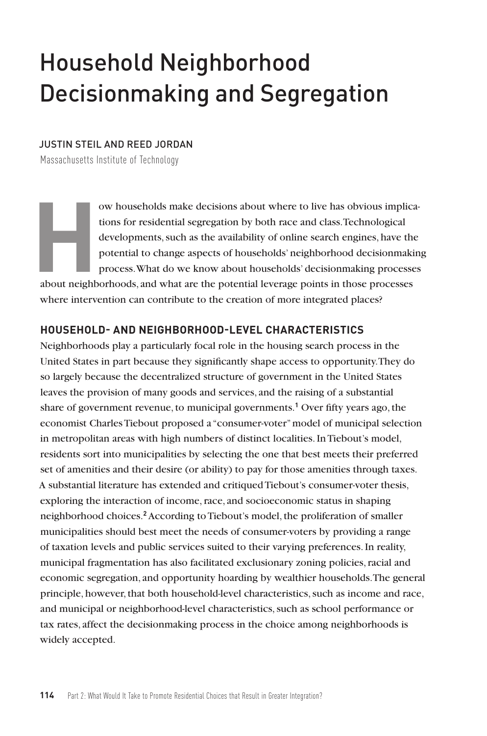# Household Neighborhood Decisionmaking and Segregation

### JUSTIN STEIL AND REED JORDAN

Massachusetts Institute of Technology

w households make decisions about where to live has obvious implica-<br>tions for residential segregation by both race and class.<br>Technological developments, such as the availability of online search engines, have the<br>potenti tions for residential segregation by both race and class. Technological developments, such as the availability of online search engines, have the potential to change aspects of households' neighborhood decisionmaking process. What do we know about households' decisionmaking processes about neighborhoods, and what are the potential leverage points in those processes

where intervention can contribute to the creation of more integrated places?

#### **HOUSEHOLD- AND NEIGHBORHOOD-LEVEL CHARACTERISTICS**

Neighborhoods play a particularly focal role in the housing search process in the United States in part because they significantly shape access to opportunity. They do so largely because the decentralized structure of government in the United States leaves the provision of many goods and services, and the raising of a substantial share of government revenue, to municipal governments.**<sup>1</sup>** Over fifty years ago, the economist Charles Tiebout proposed a "consumer-voter" model of municipal selection in metropolitan areas with high numbers of distinct localities. In Tiebout's model, residents sort into municipalities by selecting the one that best meets their preferred set of amenities and their desire (or ability) to pay for those amenities through taxes. A substantial literature has extended and critiqued Tiebout's consumer-voter thesis, exploring the interaction of income, race, and socioeconomic status in shaping neighborhood choices.**<sup>2</sup>** According to Tiebout's model, the proliferation of smaller municipalities should best meet the needs of consumer-voters by providing a range of taxation levels and public services suited to their varying preferences. In reality, municipal fragmentation has also facilitated exclusionary zoning policies, racial and economic segregation, and opportunity hoarding by wealthier households. The general principle, however, that both household-level characteristics, such as income and race, and municipal or neighborhood-level characteristics, such as school performance or tax rates, affect the decisionmaking process in the choice among neighborhoods is widely accepted.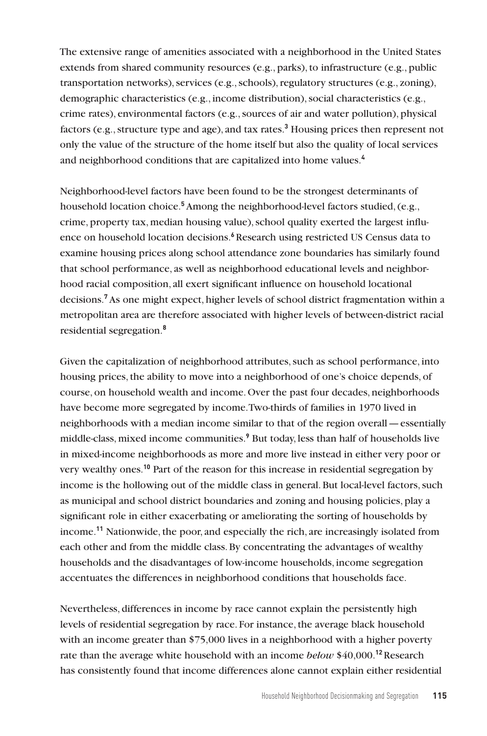The extensive range of amenities associated with a neighborhood in the United States extends from shared community resources (e.g., parks), to infrastructure (e.g., public transportation networks), services (e.g., schools), regulatory structures (e.g., zoning), demographic characteristics (e.g., income distribution), social characteristics (e.g., crime rates), environmental factors (e.g., sources of air and water pollution), physical factors (e.g., structure type and age), and tax rates.**<sup>3</sup>** Housing prices then represent not only the value of the structure of the home itself but also the quality of local services and neighborhood conditions that are capitalized into home values.**<sup>4</sup>**

Neighborhood-level factors have been found to be the strongest determinants of household location choice.**<sup>5</sup>** Among the neighborhood-level factors studied, (e.g., crime, property tax, median housing value), school quality exerted the largest influence on household location decisions.**<sup>6</sup>**Research using restricted US Census data to examine housing prices along school attendance zone boundaries has similarly found that school performance, as well as neighborhood educational levels and neighborhood racial composition, all exert significant influence on household locational decisions.**<sup>7</sup>** As one might expect, higher levels of school district fragmentation within a metropolitan area are therefore associated with higher levels of between-district racial residential segregation.**<sup>8</sup>**

Given the capitalization of neighborhood attributes, such as school performance, into housing prices, the ability to move into a neighborhood of one's choice depends, of course, on household wealth and income. Over the past four decades, neighborhoods have become more segregated by income. Two-thirds of families in 1970 lived in neighborhoods with a median income similar to that of the region overall—essentially middle-class, mixed income communities.**<sup>9</sup>** But today, less than half of households live in mixed-income neighborhoods as more and more live instead in either very poor or very wealthy ones.**<sup>10</sup>** Part of the reason for this increase in residential segregation by income is the hollowing out of the middle class in general. But local-level factors, such as municipal and school district boundaries and zoning and housing policies, play a significant role in either exacerbating or ameliorating the sorting of households by income.**<sup>11</sup>** Nationwide, the poor, and especially the rich, are increasingly isolated from each other and from the middle class. By concentrating the advantages of wealthy households and the disadvantages of low-income households, income segregation accentuates the differences in neighborhood conditions that households face.

Nevertheless, differences in income by race cannot explain the persistently high levels of residential segregation by race. For instance, the average black household with an income greater than \$75,000 lives in a neighborhood with a higher poverty rate than the average white household with an income *below* \$40,000.**<sup>12</sup>**Research has consistently found that income differences alone cannot explain either residential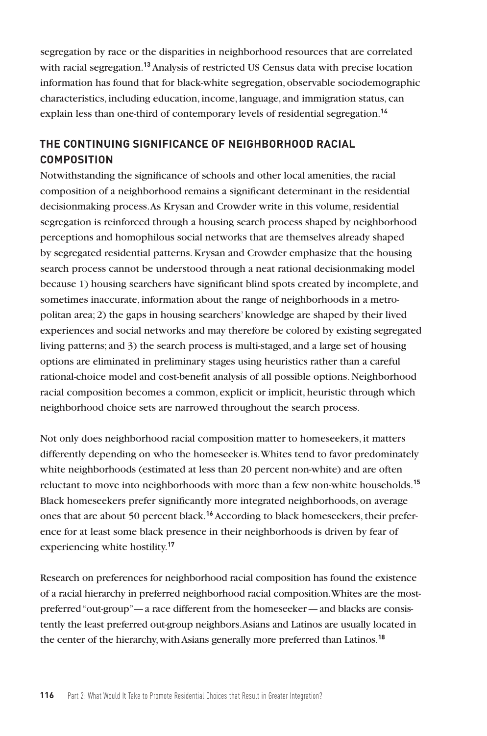segregation by race or the disparities in neighborhood resources that are correlated with racial segregation.**<sup>13</sup>** Analysis of restricted US Census data with precise location information has found that for black-white segregation, observable sociodemographic characteristics, including education, income, language, and immigration status, can explain less than one-third of contemporary levels of residential segregation.**<sup>14</sup>**

## **THE CONTINUING SIGNIFICANCE OF NEIGHBORHOOD RACIAL COMPOSITION**

Notwithstanding the significance of schools and other local amenities, the racial composition of a neighborhood remains a significant determinant in the residential decisionmaking process. As Krysan and Crowder write in this volume, residential segregation is reinforced through a housing search process shaped by neighborhood perceptions and homophilous social networks that are themselves already shaped by segregated residential patterns. Krysan and Crowder emphasize that the housing search process cannot be understood through a neat rational decisionmaking model because 1) housing searchers have significant blind spots created by incomplete, and sometimes inaccurate, information about the range of neighborhoods in a metropolitan area; 2) the gaps in housing searchers' knowledge are shaped by their lived experiences and social networks and may therefore be colored by existing segregated living patterns; and 3) the search process is multi-staged, and a large set of housing options are eliminated in preliminary stages using heuristics rather than a careful rational-choice model and cost-benefit analysis of all possible options. Neighborhood racial composition becomes a common, explicit or implicit, heuristic through which neighborhood choice sets are narrowed throughout the search process.

Not only does neighborhood racial composition matter to homeseekers, it matters differently depending on who the homeseeker is. Whites tend to favor predominately white neighborhoods (estimated at less than 20 percent non-white) and are often reluctant to move into neighborhoods with more than a few non-white households.**<sup>15</sup>** Black homeseekers prefer significantly more integrated neighborhoods, on average ones that are about 50 percent black.**16** According to black homeseekers, their preference for at least some black presence in their neighborhoods is driven by fear of experiencing white hostility.**<sup>17</sup>**

Research on preferences for neighborhood racial composition has found the existence of a racial hierarchy in preferred neighborhood racial composition. Whites are the mostpreferred "out-group"—a race different from the homeseeker—and blacks are consistently the least preferred out-group neighbors. Asians and Latinos are usually located in the center of the hierarchy, with Asians generally more preferred than Latinos.**18**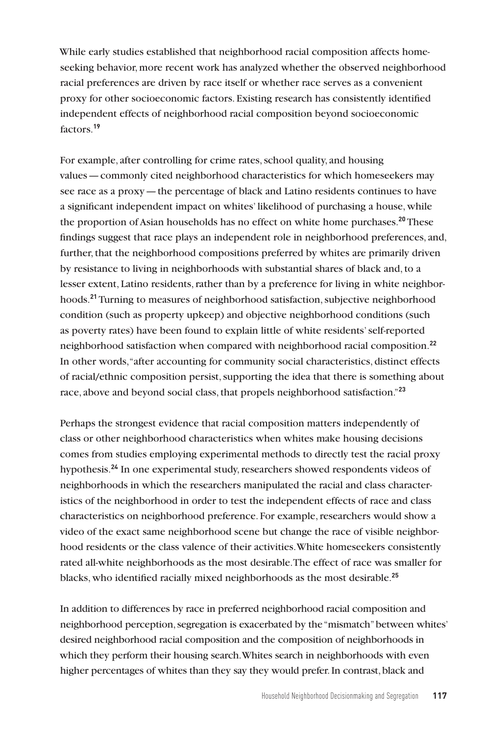While early studies established that neighborhood racial composition affects homeseeking behavior, more recent work has analyzed whether the observed neighborhood racial preferences are driven by race itself or whether race serves as a convenient proxy for other socioeconomic factors. Existing research has consistently identified independent effects of neighborhood racial composition beyond socioeconomic factors.**<sup>19</sup>**

For example, after controlling for crime rates, school quality, and housing values—commonly cited neighborhood characteristics for which homeseekers may see race as a proxy—the percentage of black and Latino residents continues to have a significant independent impact on whites' likelihood of purchasing a house, while the proportion of Asian households has no effect on white home purchases.**<sup>20</sup>** These findings suggest that race plays an independent role in neighborhood preferences, and, further, that the neighborhood compositions preferred by whites are primarily driven by resistance to living in neighborhoods with substantial shares of black and, to a lesser extent, Latino residents, rather than by a preference for living in white neighborhoods.**<sup>21</sup>** Turning to measures of neighborhood satisfaction, subjective neighborhood condition (such as property upkeep) and objective neighborhood conditions (such as poverty rates) have been found to explain little of white residents' self-reported neighborhood satisfaction when compared with neighborhood racial composition.**<sup>22</sup>** In other words, "after accounting for community social characteristics, distinct effects of racial/ethnic composition persist, supporting the idea that there is something about race, above and beyond social class, that propels neighborhood satisfaction."**<sup>23</sup>**

Perhaps the strongest evidence that racial composition matters independently of class or other neighborhood characteristics when whites make housing decisions comes from studies employing experimental methods to directly test the racial proxy hypothesis.**<sup>24</sup>** In one experimental study, researchers showed respondents videos of neighborhoods in which the researchers manipulated the racial and class characteristics of the neighborhood in order to test the independent effects of race and class characteristics on neighborhood preference. For example, researchers would show a video of the exact same neighborhood scene but change the race of visible neighborhood residents or the class valence of their activities. White homeseekers consistently rated all-white neighborhoods as the most desirable. The effect of race was smaller for blacks, who identified racially mixed neighborhoods as the most desirable.**<sup>25</sup>**

In addition to differences by race in preferred neighborhood racial composition and neighborhood perception, segregation is exacerbated by the "mismatch" between whites' desired neighborhood racial composition and the composition of neighborhoods in which they perform their housing search. Whites search in neighborhoods with even higher percentages of whites than they say they would prefer. In contrast, black and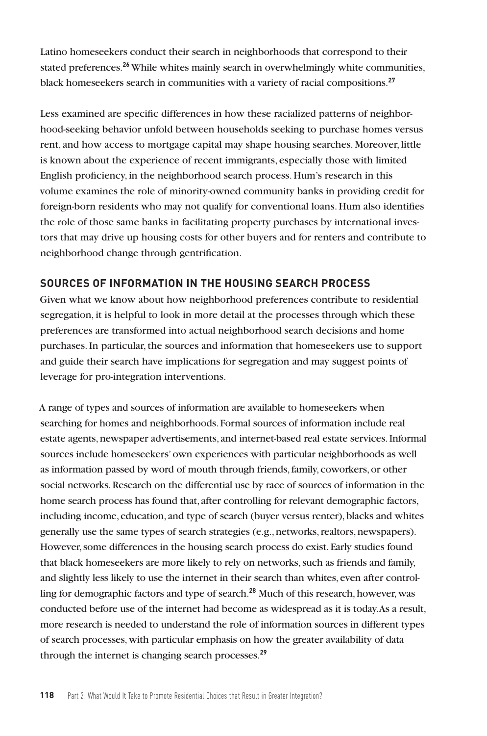Latino homeseekers conduct their search in neighborhoods that correspond to their stated preferences.**<sup>26</sup>** While whites mainly search in overwhelmingly white communities, black homeseekers search in communities with a variety of racial compositions.**<sup>27</sup>**

Less examined are specific differences in how these racialized patterns of neighborhood-seeking behavior unfold between households seeking to purchase homes versus rent, and how access to mortgage capital may shape housing searches. Moreover, little is known about the experience of recent immigrants, especially those with limited English proficiency, in the neighborhood search process. Hum's research in this volume examines the role of minority-owned community banks in providing credit for foreign-born residents who may not qualify for conventional loans. Hum also identifies the role of those same banks in facilitating property purchases by international investors that may drive up housing costs for other buyers and for renters and contribute to neighborhood change through gentrification.

### **SOURCES OF INFORMATION IN THE HOUSING SEARCH PROCESS**

Given what we know about how neighborhood preferences contribute to residential segregation, it is helpful to look in more detail at the processes through which these preferences are transformed into actual neighborhood search decisions and home purchases. In particular, the sources and information that homeseekers use to support and guide their search have implications for segregation and may suggest points of leverage for pro-integration interventions.

A range of types and sources of information are available to homeseekers when searching for homes and neighborhoods. Formal sources of information include real estate agents, newspaper advertisements, and internet-based real estate services. Informal sources include homeseekers' own experiences with particular neighborhoods as well as information passed by word of mouth through friends, family, coworkers, or other social networks. Research on the differential use by race of sources of information in the home search process has found that, after controlling for relevant demographic factors, including income, education, and type of search (buyer versus renter), blacks and whites generally use the same types of search strategies (e.g., networks, realtors, newspapers). However, some differences in the housing search process do exist. Early studies found that black homeseekers are more likely to rely on networks, such as friends and family, and slightly less likely to use the internet in their search than whites, even after controlling for demographic factors and type of search.**<sup>28</sup>** Much of this research, however, was conducted before use of the internet had become as widespread as it is today. As a result, more research is needed to understand the role of information sources in different types of search processes, with particular emphasis on how the greater availability of data through the internet is changing search processes.**29**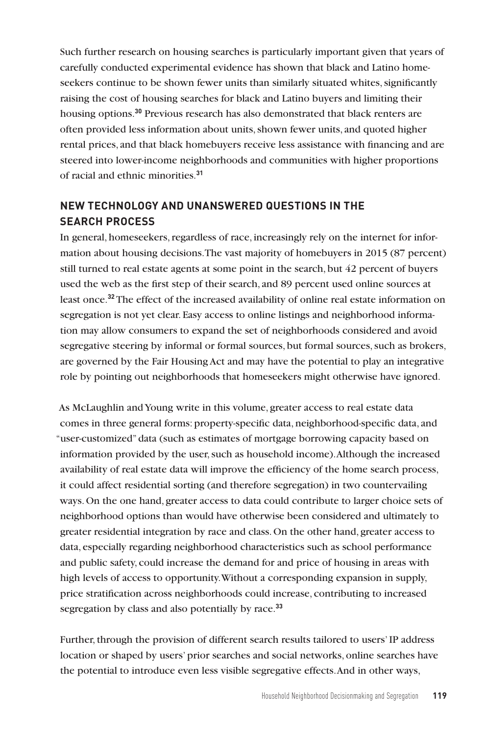Such further research on housing searches is particularly important given that years of carefully conducted experimental evidence has shown that black and Latino homeseekers continue to be shown fewer units than similarly situated whites, significantly raising the cost of housing searches for black and Latino buyers and limiting their housing options.**<sup>30</sup>** Previous research has also demonstrated that black renters are often provided less information about units, shown fewer units, and quoted higher rental prices, and that black homebuyers receive less assistance with financing and are steered into lower-income neighborhoods and communities with higher proportions of racial and ethnic minorities.**<sup>31</sup>**

# **NEW TECHNOLOGY AND UNANSWERED QUESTIONS IN THE SEARCH PROCESS**

In general, homeseekers, regardless of race, increasingly rely on the internet for information about housing decisions. The vast majority of homebuyers in 2015 (87 percent) still turned to real estate agents at some point in the search, but 42 percent of buyers used the web as the first step of their search, and 89 percent used online sources at least once.**<sup>32</sup>** The effect of the increased availability of online real estate information on segregation is not yet clear. Easy access to online listings and neighborhood information may allow consumers to expand the set of neighborhoods considered and avoid segregative steering by informal or formal sources, but formal sources, such as brokers, are governed by the Fair Housing Act and may have the potential to play an integrative role by pointing out neighborhoods that homeseekers might otherwise have ignored.

As McLaughlin and Young write in this volume, greater access to real estate data comes in three general forms: property-specific data, neighborhood-specific data, and "user-customized" data (such as estimates of mortgage borrowing capacity based on information provided by the user, such as household income). Although the increased availability of real estate data will improve the efficiency of the home search process, it could affect residential sorting (and therefore segregation) in two countervailing ways. On the one hand, greater access to data could contribute to larger choice sets of neighborhood options than would have otherwise been considered and ultimately to greater residential integration by race and class. On the other hand, greater access to data, especially regarding neighborhood characteristics such as school performance and public safety, could increase the demand for and price of housing in areas with high levels of access to opportunity. Without a corresponding expansion in supply, price stratification across neighborhoods could increase, contributing to increased segregation by class and also potentially by race.**<sup>33</sup>**

Further, through the provision of different search results tailored to users' IP address location or shaped by users' prior searches and social networks, online searches have the potential to introduce even less visible segregative effects. And in other ways,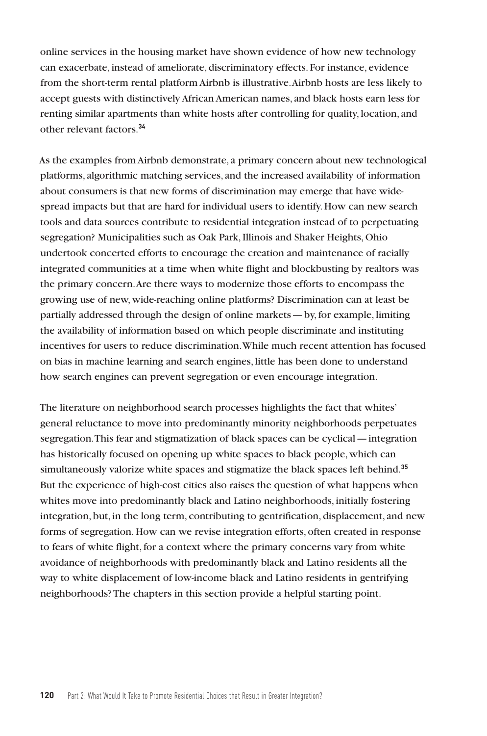online services in the housing market have shown evidence of how new technology can exacerbate, instead of ameliorate, discriminatory effects. For instance, evidence from the short-term rental platform Airbnb is illustrative. Airbnb hosts are less likely to accept guests with distinctively African American names, and black hosts earn less for renting similar apartments than white hosts after controlling for quality, location, and other relevant factors.**<sup>34</sup>**

As the examples from Airbnb demonstrate, a primary concern about new technological platforms, algorithmic matching services, and the increased availability of information about consumers is that new forms of discrimination may emerge that have widespread impacts but that are hard for individual users to identify. How can new search tools and data sources contribute to residential integration instead of to perpetuating segregation? Municipalities such as Oak Park, Illinois and Shaker Heights, Ohio undertook concerted efforts to encourage the creation and maintenance of racially integrated communities at a time when white flight and blockbusting by realtors was the primary concern. Are there ways to modernize those efforts to encompass the growing use of new, wide-reaching online platforms? Discrimination can at least be partially addressed through the design of online markets—by, for example, limiting the availability of information based on which people discriminate and instituting incentives for users to reduce discrimination. While much recent attention has focused on bias in machine learning and search engines, little has been done to understand how search engines can prevent segregation or even encourage integration.

The literature on neighborhood search processes highlights the fact that whites' general reluctance to move into predominantly minority neighborhoods perpetuates segregation. This fear and stigmatization of black spaces can be cyclical—integration has historically focused on opening up white spaces to black people, which can simultaneously valorize white spaces and stigmatize the black spaces left behind.**<sup>35</sup>** But the experience of high-cost cities also raises the question of what happens when whites move into predominantly black and Latino neighborhoods, initially fostering integration, but, in the long term, contributing to gentrification, displacement, and new forms of segregation. How can we revise integration efforts, often created in response to fears of white flight, for a context where the primary concerns vary from white avoidance of neighborhoods with predominantly black and Latino residents all the way to white displacement of low-income black and Latino residents in gentrifying neighborhoods? The chapters in this section provide a helpful starting point.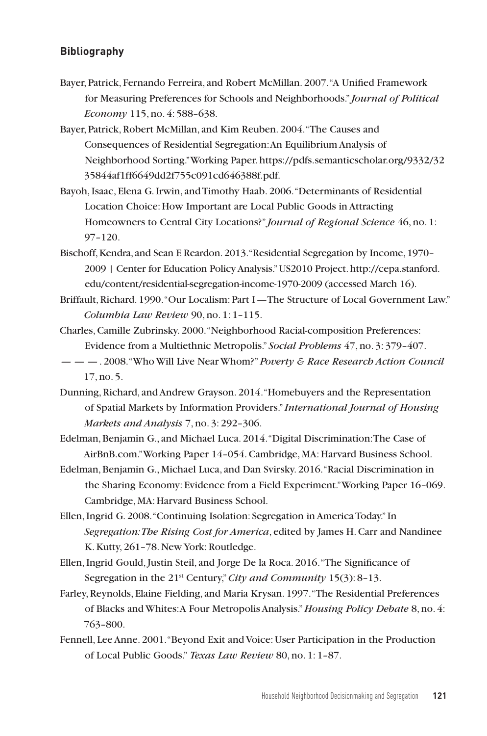## **Bibliography**

- Bayer, Patrick, Fernando Ferreira, and Robert McMillan. 2007. "A Unified Framework for Measuring Preferences for Schools and Neighborhoods." *Journal of Political Economy* 115, no. 4: 588–638.
- Bayer, Patrick, Robert McMillan, and Kim Reuben. 2004. "The Causes and Consequences of Residential Segregation: An Equilibrium Analysis of Neighborhood Sorting." Working Paper. https://pdfs.semanticscholar.org/9332/32 35844af1ff6649dd2f755c091cd646388f.pdf.
- Bayoh, Isaac, Elena G. Irwin, and Timothy Haab. 2006. "Determinants of Residential Location Choice: How Important are Local Public Goods in Attracting Homeowners to Central City Locations?" *Journal of Regional Science* 46, no. 1: 97–120.
- Bischoff, Kendra, and Sean F. Reardon. 2013. "Residential Segregation by Income, 1970– 2009 | Center for Education Policy Analysis." US2010 Project. http://cepa.stanford. edu/content/residential-segregation-income-1970-2009 (accessed March 16).
- Briffault, Richard. 1990. "Our Localism: Part I—The Structure of Local Government Law." *Columbia Law Review* 90, no. 1: 1–115.
- Charles, Camille Zubrinsky. 2000. "Neighborhood Racial-composition Preferences: Evidence from a Multiethnic Metropolis." *Social Problems* 47, no. 3: 379–407.
- — —. 2008. "Who Will Live Near Whom?" *Poverty & Race Research Action Council*  17, no. 5.
- Dunning, Richard, and Andrew Grayson. 2014. "Homebuyers and the Representation of Spatial Markets by Information Providers." *International Journal of Housing Markets and Analysis* 7, no. 3: 292–306.
- Edelman, Benjamin G., and Michael Luca. 2014. "Digital Discrimination: The Case of AirBnB.com." Working Paper 14–054. Cambridge, MA: Harvard Business School.
- Edelman, Benjamin G., Michael Luca, and Dan Svirsky. 2016. "Racial Discrimination in the Sharing Economy: Evidence from a Field Experiment." Working Paper 16–069. Cambridge, MA: Harvard Business School.
- Ellen, Ingrid G. 2008. "Continuing Isolation: Segregation in America Today." In *Segregation: The Rising Cost for America*, edited by James H. Carr and Nandinee K. Kutty, 261–78. New York: Routledge.
- Ellen, Ingrid Gould, Justin Steil, and Jorge De la Roca. 2016. "The Significance of Segregation in the 21<sup>st</sup> Century," *City and Community* 15(3): 8-13.
- Farley, Reynolds, Elaine Fielding, and Maria Krysan. 1997. "The Residential Preferences of Blacks and Whites: A Four Metropolis Analysis." *Housing Policy Debate* 8, no. 4: 763–800.
- Fennell, Lee Anne. 2001. "Beyond Exit and Voice: User Participation in the Production of Local Public Goods." *Texas Law Review* 80, no. 1: 1–87.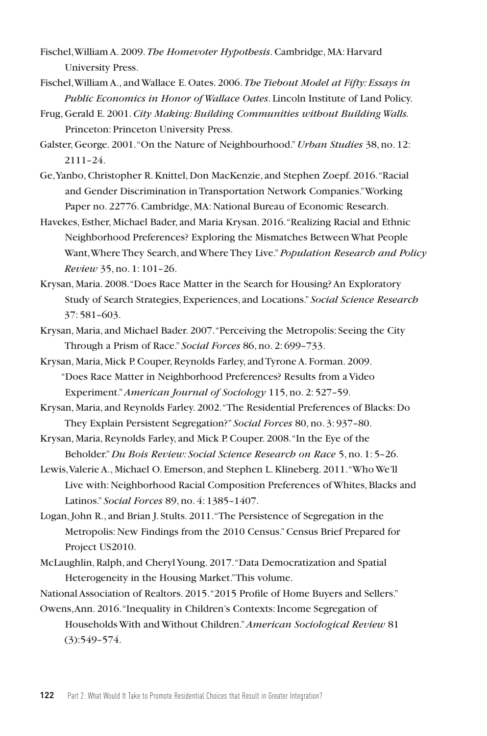- Fischel, William A. 2009. *The Homevoter Hypothesis*. Cambridge, MA: Harvard University Press.
- Fischel, William A., and Wallace E. Oates. 2006. *The Tiebout Model at Fifty: Essays in Public Economics in Honor of Wallace Oates*. Lincoln Institute of Land Policy.
- Frug, Gerald E. 2001. *City Making: Building Communities without Building Walls.* Princeton: Princeton University Press.
- Galster, George. 2001. "On the Nature of Neighbourhood." *Urban Studies* 38, no. 12: 2111–24.
- Ge, Yanbo, Christopher R. Knittel, Don MacKenzie, and Stephen Zoepf. 2016. "Racial and Gender Discrimination in Transportation Network Companies." Working Paper no. 22776. Cambridge, MA: National Bureau of Economic Research.
- Havekes, Esther, Michael Bader, and Maria Krysan. 2016. "Realizing Racial and Ethnic Neighborhood Preferences? Exploring the Mismatches Between What People Want, Where They Search, and Where They Live." *Population Research and Policy Review* 35, no. 1: 101–26.
- Krysan, Maria. 2008. "Does Race Matter in the Search for Housing? An Exploratory Study of Search Strategies, Experiences, and Locations." *Social Science Research*  37: 581–603.
- Krysan, Maria, and Michael Bader. 2007. "Perceiving the Metropolis: Seeing the City Through a Prism of Race." *Social Forces* 86, no. 2: 699–733.
- Krysan, Maria, Mick P. Couper, Reynolds Farley, and Tyrone A. Forman. 2009. "Does Race Matter in Neighborhood Preferences? Results from a Video Experiment."*American Journal of Sociology* 115, no. 2: 527–59.
- Krysan, Maria, and Reynolds Farley. 2002. "The Residential Preferences of Blacks: Do They Explain Persistent Segregation?" *Social Forces* 80, no. 3: 937–80.
- Krysan, Maria, Reynolds Farley, and Mick P. Couper. 2008. "In the Eye of the Beholder."*Du Bois Review: Social Science Research on Race* 5, no. 1: 5–26.
- Lewis, Valerie A., Michael O. Emerson, and Stephen L. Klineberg. 2011. "Who We'll Live with: Neighborhood Racial Composition Preferences of Whites, Blacks and Latinos." *Social Forces* 89, no. 4: 1385–1407.
- Logan, John R., and Brian J. Stults. 2011. "The Persistence of Segregation in the Metropolis: New Findings from the 2010 Census." Census Brief Prepared for Project US2010.
- McLaughlin, Ralph, and Cheryl Young. 2017. "Data Democratization and Spatial Heterogeneity in the Housing Market." This volume.
- National Association of Realtors. 2015. "2015 Profile of Home Buyers and Sellers." Owens, Ann. 2016. "Inequality in Children's Contexts: Income Segregation of
	- Households With and Without Children." *American Sociological Review* 81 (3):549–574.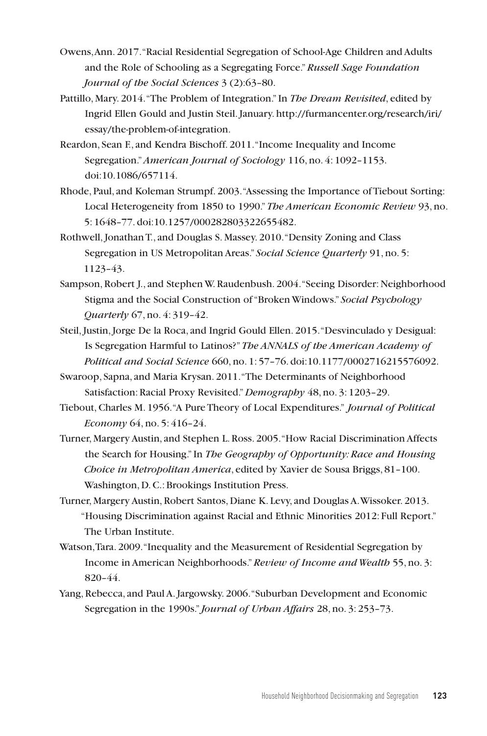- Owens, Ann. 2017. "Racial Residential Segregation of School-Age Children and Adults and the Role of Schooling as a Segregating Force." *Russell Sage Foundation Journal of the Social Sciences* 3 (2):63–80.
- Pattillo, Mary. 2014. "The Problem of Integration." In *The Dream Revisited*, edited by Ingrid Ellen Gould and Justin Steil. January. http://furmancenter.org/research/iri/ essay/the-problem-of-integration.
- Reardon, Sean F., and Kendra Bischoff. 2011. "Income Inequality and Income Segregation." *American Journal of Sociology* 116, no. 4: 1092–1153. doi:10.1086/657114.
- Rhode, Paul, and Koleman Strumpf. 2003. "Assessing the Importance of Tiebout Sorting: Local Heterogeneity from 1850 to 1990." *The American Economic Review* 93, no. 5: 1648–77. doi:10.1257/000282803322655482.
- Rothwell, Jonathan T., and Douglas S. Massey. 2010. "Density Zoning and Class Segregation in US Metropolitan Areas." *Social Science Quarterly* 91, no. 5: 1123–43.
- Sampson, Robert J., and Stephen W. Raudenbush. 2004. "Seeing Disorder: Neighborhood Stigma and the Social Construction of "Broken Windows." *Social Psychology Quarterly* 67, no. 4: 319–42.
- Steil, Justin, Jorge De la Roca, and Ingrid Gould Ellen. 2015. "Desvinculado y Desigual: Is Segregation Harmful to Latinos?" *The ANNALS of the American Academy of Political and Social Science* 660, no. 1: 57–76. doi:10.1177/0002716215576092.
- Swaroop, Sapna, and Maria Krysan. 2011. "The Determinants of Neighborhood Satisfaction: Racial Proxy Revisited."*Demography* 48, no. 3: 1203–29.
- Tiebout, Charles M. 1956. "A Pure Theory of Local Expenditures." *Journal of Political Economy* 64, no. 5: 416–24.
- Turner, Margery Austin, and Stephen L. Ross. 2005. "How Racial Discrimination Affects the Search for Housing." In *The Geography of Opportunity: Race and Housing Choice in Metropolitan America*, edited by Xavier de Sousa Briggs, 81–100. Washington, D. C.: Brookings Institution Press.
- Turner, Margery Austin, Robert Santos, Diane K. Levy, and Douglas A. Wissoker. 2013. "Housing Discrimination against Racial and Ethnic Minorities 2012: Full Report." The Urban Institute.
- Watson, Tara. 2009. "Inequality and the Measurement of Residential Segregation by Income in American Neighborhoods." *Review of Income and Wealth* 55, no. 3: 820–44.
- Yang, Rebecca, and Paul A. Jargowsky. 2006. "Suburban Development and Economic Segregation in the 1990s." *Journal of Urban Affairs* 28, no. 3: 253–73.